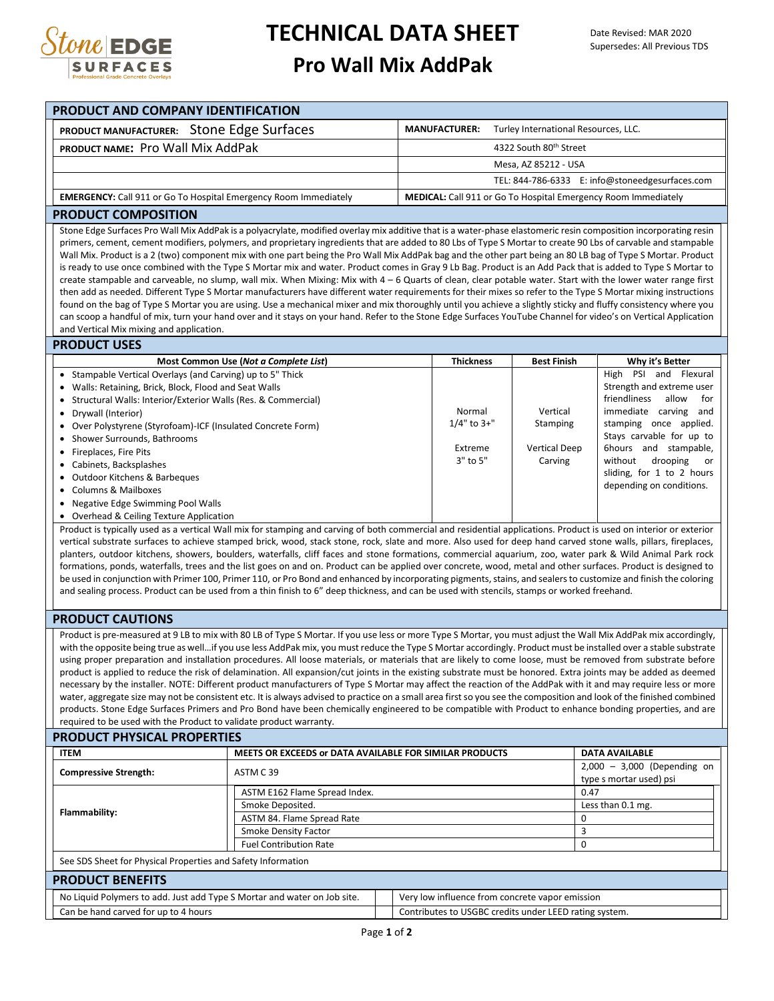

## **TECHNICAL DATA SHEET**

## **Pro Wall Mix AddPak**

| PRODUCT AND COMPANY IDENTIFICATION<br>PRODUCT MANUFACTURER: Stone Edge Surfaces                                                                                                                                                                                                                                                 | <b>MANUFACTURER:</b>                                           | Turley International Resources, LLC. |                                                 |
|---------------------------------------------------------------------------------------------------------------------------------------------------------------------------------------------------------------------------------------------------------------------------------------------------------------------------------|----------------------------------------------------------------|--------------------------------------|-------------------------------------------------|
|                                                                                                                                                                                                                                                                                                                                 |                                                                |                                      |                                                 |
| PRODUCT NAME: Pro Wall Mix AddPak                                                                                                                                                                                                                                                                                               |                                                                | 4322 South 80th Street               |                                                 |
|                                                                                                                                                                                                                                                                                                                                 |                                                                | Mesa, AZ 85212 - USA                 |                                                 |
|                                                                                                                                                                                                                                                                                                                                 |                                                                |                                      | TEL: 844-786-6333 E: info@stoneedgesurfaces.com |
| <b>EMERGENCY:</b> Call 911 or Go To Hospital Emergency Room Immediately                                                                                                                                                                                                                                                         | MEDICAL: Call 911 or Go To Hospital Emergency Room Immediately |                                      |                                                 |
| <b>PRODUCT COMPOSITION</b>                                                                                                                                                                                                                                                                                                      |                                                                |                                      |                                                 |
| Stone Edge Surfaces Pro Wall Mix AddPak is a polyacrylate, modified overlay mix additive that is a water-phase elastomeric resin composition incorporating resin                                                                                                                                                                |                                                                |                                      |                                                 |
| primers, cement, cement modifiers, polymers, and proprietary ingredients that are added to 80 Lbs of Type S Mortar to create 90 Lbs of carvable and stampable                                                                                                                                                                   |                                                                |                                      |                                                 |
| Wall Mix. Product is a 2 (two) component mix with one part being the Pro Wall Mix AddPak bag and the other part being an 80 LB bag of Type S Mortar. Product                                                                                                                                                                    |                                                                |                                      |                                                 |
| is ready to use once combined with the Type S Mortar mix and water. Product comes in Gray 9 Lb Bag. Product is an Add Pack that is added to Type S Mortar to                                                                                                                                                                    |                                                                |                                      |                                                 |
| create stampable and carveable, no slump, wall mix. When Mixing: Mix with 4 - 6 Quarts of clean, clear potable water. Start with the lower water range first                                                                                                                                                                    |                                                                |                                      |                                                 |
| then add as needed. Different Type S Mortar manufacturers have different water requirements for their mixes so refer to the Type S Mortar mixing instructions                                                                                                                                                                   |                                                                |                                      |                                                 |
| found on the bag of Type S Mortar you are using. Use a mechanical mixer and mix thoroughly until you achieve a slightly sticky and fluffy consistency where you                                                                                                                                                                 |                                                                |                                      |                                                 |
| can scoop a handful of mix, turn your hand over and it stays on your hand. Refer to the Stone Edge Surfaces YouTube Channel for video's on Vertical Application<br>and Vertical Mix mixing and application.                                                                                                                     |                                                                |                                      |                                                 |
| <b>PRODUCT USES</b>                                                                                                                                                                                                                                                                                                             |                                                                |                                      |                                                 |
| Most Common Use (Not a Complete List)                                                                                                                                                                                                                                                                                           | <b>Thickness</b>                                               | <b>Best Finish</b>                   | Why it's Better                                 |
| • Stampable Vertical Overlays (and Carving) up to 5" Thick                                                                                                                                                                                                                                                                      |                                                                |                                      | High PSI and Flexural                           |
| Walls: Retaining, Brick, Block, Flood and Seat Walls<br>$\bullet$                                                                                                                                                                                                                                                               |                                                                |                                      | Strength and extreme user                       |
| Structural Walls: Interior/Exterior Walls (Res. & Commercial)                                                                                                                                                                                                                                                                   |                                                                |                                      | friendliness<br>allow<br>for                    |
| Drywall (Interior)                                                                                                                                                                                                                                                                                                              | Normal                                                         | Vertical                             | immediate carving and                           |
| Over Polystyrene (Styrofoam)-ICF (Insulated Concrete Form)                                                                                                                                                                                                                                                                      | $1/4"$ to $3+"$                                                | Stamping                             | stamping once applied.                          |
| Shower Surrounds, Bathrooms                                                                                                                                                                                                                                                                                                     |                                                                |                                      | Stays carvable for up to                        |
| Fireplaces, Fire Pits<br>$\bullet$                                                                                                                                                                                                                                                                                              | Extreme                                                        | <b>Vertical Deep</b>                 | 6hours and stampable,                           |
| Cabinets, Backsplashes                                                                                                                                                                                                                                                                                                          | 3" to 5"                                                       | Carving                              | without<br>drooping<br>or                       |
| Outdoor Kitchens & Barbeques<br>$\bullet$                                                                                                                                                                                                                                                                                       |                                                                |                                      | sliding, for 1 to 2 hours                       |
| <b>Columns &amp; Mailboxes</b>                                                                                                                                                                                                                                                                                                  |                                                                |                                      | depending on conditions.                        |
| • Negative Edge Swimming Pool Walls                                                                                                                                                                                                                                                                                             |                                                                |                                      |                                                 |
| • Overhead & Ceiling Texture Application                                                                                                                                                                                                                                                                                        |                                                                |                                      |                                                 |
| Product is typically used as a vertical Wall mix for stamping and carving of both commercial and residential applications. Product is used on interior or exterior                                                                                                                                                              |                                                                |                                      |                                                 |
| vertical substrate surfaces to achieve stamped brick, wood, stack stone, rock, slate and more. Also used for deep hand carved stone walls, pillars, fireplaces,                                                                                                                                                                 |                                                                |                                      |                                                 |
| planters, outdoor kitchens, showers, boulders, waterfalls, cliff faces and stone formations, commercial aquarium, zoo, water park & Wild Animal Park rock                                                                                                                                                                       |                                                                |                                      |                                                 |
| formations, ponds, waterfalls, trees and the list goes on and on. Product can be applied over concrete, wood, metal and other surfaces. Product is designed to                                                                                                                                                                  |                                                                |                                      |                                                 |
| be used in conjunction with Primer 100, Primer 110, or Pro Bond and enhanced by incorporating pigments, stains, and sealers to customize and finish the coloring                                                                                                                                                                |                                                                |                                      |                                                 |
| and sealing process. Product can be used from a thin finish to 6" deep thickness, and can be used with stencils, stamps or worked freehand.                                                                                                                                                                                     |                                                                |                                      |                                                 |
| <b>PRODUCT CAUTIONS</b>                                                                                                                                                                                                                                                                                                         |                                                                |                                      |                                                 |
|                                                                                                                                                                                                                                                                                                                                 |                                                                |                                      |                                                 |
| Product is pre-measured at 9 LB to mix with 80 LB of Type S Mortar. If you use less or more Type S Mortar, you must adjust the Wall Mix AddPak mix accordingly,                                                                                                                                                                 |                                                                |                                      |                                                 |
|                                                                                                                                                                                                                                                                                                                                 |                                                                |                                      |                                                 |
| with the opposite being true as wellif you use less AddPak mix, you must reduce the Type S Mortar accordingly. Product must be installed over a stable substrate                                                                                                                                                                |                                                                |                                      |                                                 |
| using proper preparation and installation procedures. All loose materials, or materials that are likely to come loose, must be removed from substrate before                                                                                                                                                                    |                                                                |                                      |                                                 |
| product is applied to reduce the risk of delamination. All expansion/cut joints in the existing substrate must be honored. Extra joints may be added as deemed<br>necessary by the installer. NOTE: Different product manufacturers of Type S Mortar may affect the reaction of the AddPak with it and may require less or more |                                                                |                                      |                                                 |

products. Stone Edge Surfaces Primers and Pro Bond have been chemically engineered to be compatible with Product to enhance bonding properties, and are required to be used with the Product to validate product warranty. **PRODUCT PHYSICAL PROPERTIES**

| FRODOGLETI BICAL FROFERTIES |                                                                          |                                                         |                                                 |                                                        |                                                          |  |  |  |  |  |  |
|-----------------------------|--------------------------------------------------------------------------|---------------------------------------------------------|-------------------------------------------------|--------------------------------------------------------|----------------------------------------------------------|--|--|--|--|--|--|
|                             | <b>ITEM</b>                                                              | MEETS OR EXCEEDS or DATA AVAILABLE FOR SIMILAR PRODUCTS |                                                 |                                                        | <b>DATA AVAILABLE</b>                                    |  |  |  |  |  |  |
|                             | <b>Compressive Strength:</b>                                             | ASTM C39                                                |                                                 |                                                        | $2,000 - 3,000$ (Depending on<br>type s mortar used) psi |  |  |  |  |  |  |
| Flammability:               | ASTM E162 Flame Spread Index.                                            | 0.47                                                    |                                                 |                                                        |                                                          |  |  |  |  |  |  |
|                             | Smoke Deposited.                                                         | Less than 0.1 mg.                                       |                                                 |                                                        |                                                          |  |  |  |  |  |  |
|                             | ASTM 84. Flame Spread Rate                                               |                                                         |                                                 |                                                        |                                                          |  |  |  |  |  |  |
|                             |                                                                          | <b>Smoke Density Factor</b>                             |                                                 |                                                        |                                                          |  |  |  |  |  |  |
|                             | <b>Fuel Contribution Rate</b>                                            |                                                         |                                                 |                                                        |                                                          |  |  |  |  |  |  |
|                             | See SDS Sheet for Physical Properties and Safety Information             |                                                         |                                                 |                                                        |                                                          |  |  |  |  |  |  |
|                             | <b>PRODUCT BENEFITS</b>                                                  |                                                         |                                                 |                                                        |                                                          |  |  |  |  |  |  |
|                             | No Liquid Polymers to add. Just add Type S Mortar and water on Job site. |                                                         | Very low influence from concrete vapor emission |                                                        |                                                          |  |  |  |  |  |  |
|                             | Can be hand carved for up to 4 hours                                     |                                                         |                                                 | Contributes to USGBC credits under LEED rating system. |                                                          |  |  |  |  |  |  |